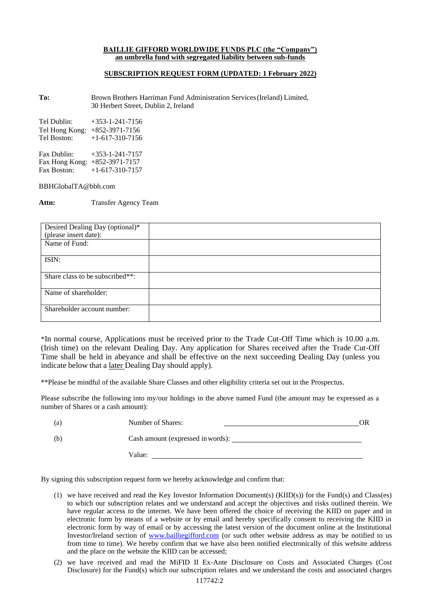## **BAILLIE GIFFORD WORLDWIDE FUNDS PLC (the "Company") an umbrella fund with segregated liability between sub-funds**

## **SUBSCRIPTION REQUEST FORM (UPDATED: 1 February 2022)**

**To:** Brown Brothers Harriman Fund Administration Services(Ireland) Limited, 30 Herbert Street, Dublin 2, Ireland

| $+353 - 1 - 241 - 7156$         |
|---------------------------------|
| Tel Hong Kong: $+852-3971-7156$ |
| $+1-617-310-7156$               |
|                                 |
|                                 |

Fax Dublin: +353-1-241-7157 Fax Hong Kong: +852-3971-7157 Fax Boston: +1-617-310-7157

[BBHGlobalTA@bbh.com](mailto:BBHGlobalTA@bbh.com)

**Attn:** Transfer Agency Team

| Desired Dealing Day (optional)* |  |
|---------------------------------|--|
| (please insert date):           |  |
| Name of Fund:                   |  |
|                                 |  |
| ISIN:                           |  |
|                                 |  |
| Share class to be subscribed**: |  |
| Name of shareholder:            |  |
| Shareholder account number:     |  |

\*In normal course, Applications must be received prior to the Trade Cut-Off Time which is 10.00 a.m. (Irish time) on the relevant Dealing Day. Any application for Shares received after the Trade Cut-Off Time shall be held in abeyance and shall be effective on the next succeeding Dealing Day (unless you indicate below that a later Dealing Day should apply).

\*\*Please be mindful of the available Share Classes and other eligibility criteria set out in the Prospectus.

Please subscribe the following into my/our holdings in the above named Fund (the amount may be expressed as a number of Shares or a cash amount):

| (a) | Number of Shares:                 | ЭR |
|-----|-----------------------------------|----|
| (b) | Cash amount (expressed in words): |    |
|     | Value:                            |    |

By signing this subscription request form we hereby acknowledge and confirm that:

- (1) we have received and read the Key Investor Information Document(s) (KIID(s)) for the Fund(s) and Class(es) to which our subscription relates and we understand and accept the objectives and risks outlined therein. We have regular access to the internet. We have been offered the choice of receiving the KIID on paper and in electronic form by means of a website or by email and hereby specifically consent to receiving the KIID in electronic form by way of email or by accessing the latest version of the document online at the Institutional Investor/Ireland section of [www.bailliegifford.com](http://www.bailliegifford.com/) (or such other website address as may be notified to us from time to time). We hereby confirm that we have also been notified electronically of this website address and the place on the website the KIID can be accessed;
- (2) we have received and read the MiFID II Ex-Ante Disclosure on Costs and Associated Charges (Cost Disclosure) for the Fund(s) which our subscription relates and we understand the costs and associated charges